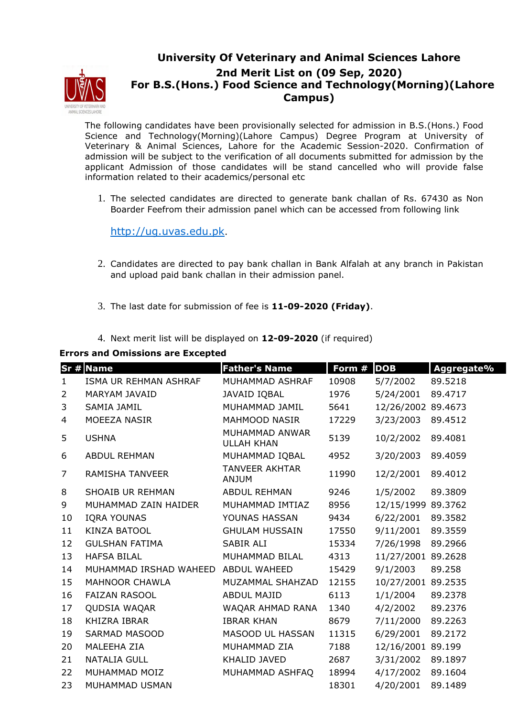

## **University Of Veterinary and Animal Sciences Lahore 2nd Merit List on (09 Sep, 2020) For B.S.(Hons.) Food Science and Technology(Morning)(Lahore Campus)**

The following candidates have been provisionally selected for admission in B.S.(Hons.) Food Science and Technology(Morning)(Lahore Campus) Degree Program at University of Veterinary & Animal Sciences, Lahore for the Academic Session-2020. Confirmation of admission will be subject to the verification of all documents submitted for admission by the applicant Admission of those candidates will be stand cancelled who will provide false information related to their academics/personal etc

1. The selected candidates are directed to generate bank challan of Rs. 67430 as Non Boarder Feefrom their admission panel which can be accessed from following link

http://ug.uvas.edu.pk.

- 2. Candidates are directed to pay bank challan in Bank Alfalah at any branch in Pakistan and upload paid bank challan in their admission panel.
- 3. The last date for submission of fee is **11-09-2020 (Friday)**.
- 4. Next merit list will be displayed on **12-09-2020** (if required)

## **Errors and Omissions are Excepted**

|                | Sr # Name               | <b>Father's Name</b>                  | Form # | <b>DOB</b>         | Aggregate% |
|----------------|-------------------------|---------------------------------------|--------|--------------------|------------|
| $\mathbf{1}$   | ISMA UR REHMAN ASHRAF   | MUHAMMAD ASHRAF                       | 10908  | 5/7/2002           | 89.5218    |
| $\overline{2}$ | MARYAM JAVAID           | JAVAID IQBAL                          | 1976   | 5/24/2001          | 89.4717    |
| 3              | <b>SAMIA JAMIL</b>      | MUHAMMAD JAMIL                        | 5641   | 12/26/2002 89.4673 |            |
| 4              | MOEEZA NASIR            | <b>MAHMOOD NASIR</b>                  | 17229  | 3/23/2003          | 89.4512    |
| 5              | <b>USHNA</b>            | MUHAMMAD ANWAR<br><b>ULLAH KHAN</b>   | 5139   | 10/2/2002          | 89.4081    |
| 6              | <b>ABDUL REHMAN</b>     | MUHAMMAD IQBAL                        | 4952   | 3/20/2003          | 89.4059    |
| 7              | RAMISHA TANVEER         | <b>TANVEER AKHTAR</b><br><b>ANJUM</b> | 11990  | 12/2/2001          | 89.4012    |
| 8              | <b>SHOAIB UR REHMAN</b> | <b>ABDUL REHMAN</b>                   | 9246   | 1/5/2002           | 89.3809    |
| 9              | MUHAMMAD ZAIN HAIDER    | MUHAMMAD IMTIAZ                       | 8956   | 12/15/1999 89.3762 |            |
| 10             | <b>IQRA YOUNAS</b>      | YOUNAS HASSAN                         | 9434   | 6/22/2001          | 89.3582    |
| 11             | <b>KINZA BATOOL</b>     | <b>GHULAM HUSSAIN</b>                 | 17550  | 9/11/2001          | 89.3559    |
| 12             | <b>GULSHAN FATIMA</b>   | SABIR ALI                             | 15334  | 7/26/1998          | 89.2966    |
| 13             | <b>HAFSA BILAL</b>      | MUHAMMAD BILAL                        | 4313   | 11/27/2001 89.2628 |            |
| 14             | MUHAMMAD IRSHAD WAHEED  | <b>ABDUL WAHEED</b>                   | 15429  | 9/1/2003           | 89.258     |
| 15             | <b>MAHNOOR CHAWLA</b>   | MUZAMMAL SHAHZAD                      | 12155  | 10/27/2001 89.2535 |            |
| 16             | <b>FAIZAN RASOOL</b>    | <b>ABDUL MAJID</b>                    | 6113   | 1/1/2004           | 89.2378    |
| 17             | QUDSIA WAQAR            | WAQAR AHMAD RANA                      | 1340   | 4/2/2002           | 89.2376    |
| 18             | <b>KHIZRA IBRAR</b>     | <b>IBRAR KHAN</b>                     | 8679   | 7/11/2000          | 89.2263    |
| 19             | <b>SARMAD MASOOD</b>    | MASOOD UL HASSAN                      | 11315  | 6/29/2001          | 89.2172    |
| 20             | MALEEHA ZIA             | MUHAMMAD ZIA                          | 7188   | 12/16/2001 89.199  |            |
| 21             | <b>NATALIA GULL</b>     | KHALID JAVED                          | 2687   | 3/31/2002          | 89.1897    |
| 22             | MUHAMMAD MOIZ           | MUHAMMAD ASHFAQ                       | 18994  | 4/17/2002          | 89.1604    |
| 23             | MUHAMMAD USMAN          |                                       | 18301  | 4/20/2001          | 89.1489    |